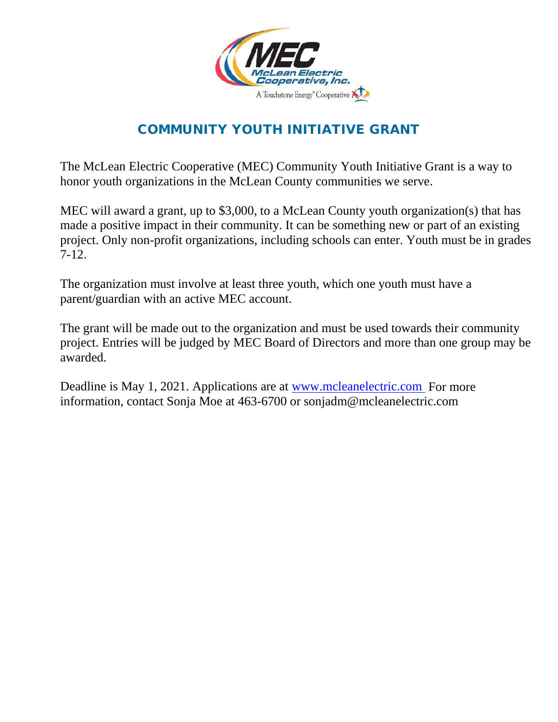

## COMMUNITY YOUTH INITIATIVE GRANT

The McLean Electric Cooperative (MEC) Community Youth Initiative Grant is a way to honor youth organizations in the McLean County communities we serve.

MEC will award a grant, up to \$3,000, to a McLean County youth organization(s) that has made a positive impact in their community. It can be something new or part of an existing project. Only non-profit organizations, including schools can enter. Youth must be in grades 7-12.

The organization must involve at least three youth, which one youth must have a parent/guardian with an active MEC account.

The grant will be made out to the organization and must be used towards their community project. Entries will be judged by MEC Board of Directors and more than one group may be awarded.

Deadline is May 1, 2021. Applications are at [www.mcleanelectric.com](http://www.mcleanelectric.com/) For more information, contact Sonja Moe at 463-6700 or sonjadm@mcleanelectric.com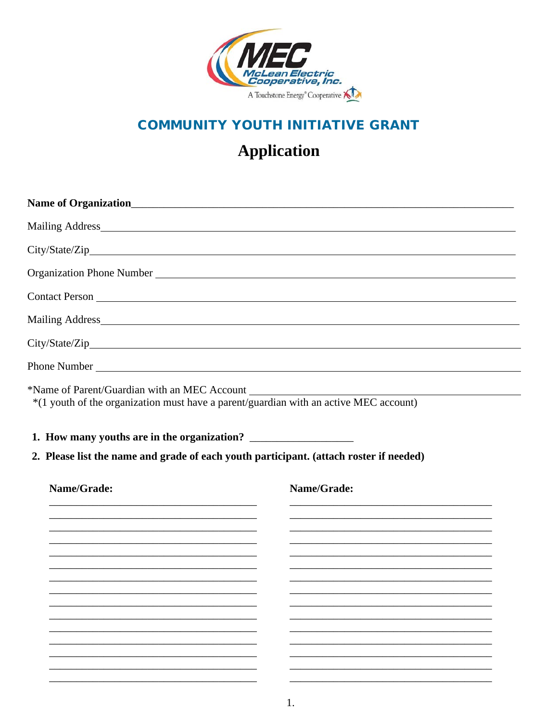

## **COMMUNITY YOUTH INITIATIVE GRANT**

## **Application**

|                                                                                                       | Organization Phone Number Law and Service Communication of the Municipality of the Municipality of the Municipality of the Municipality of the Municipality of the Municipality of the Municipality of the Municipality of the |
|-------------------------------------------------------------------------------------------------------|--------------------------------------------------------------------------------------------------------------------------------------------------------------------------------------------------------------------------------|
|                                                                                                       |                                                                                                                                                                                                                                |
|                                                                                                       |                                                                                                                                                                                                                                |
|                                                                                                       |                                                                                                                                                                                                                                |
|                                                                                                       |                                                                                                                                                                                                                                |
|                                                                                                       |                                                                                                                                                                                                                                |
| 2. Please list the name and grade of each youth participant. (attach roster if needed)<br>Name/Grade: | Name/Grade:                                                                                                                                                                                                                    |

 $1.$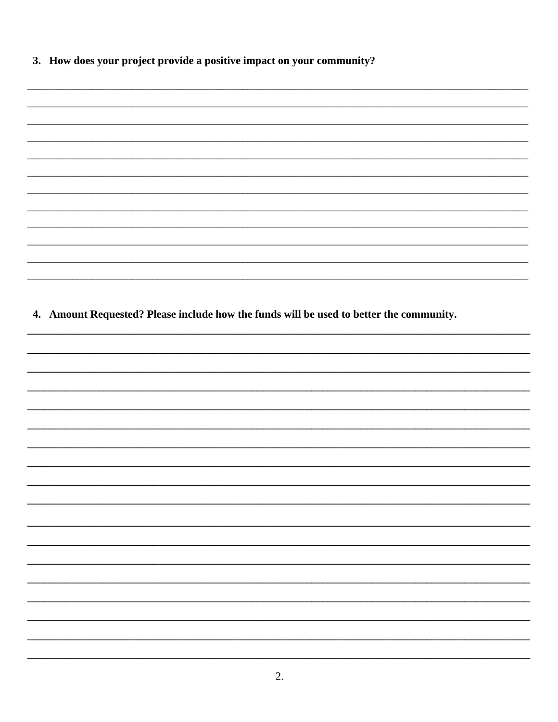3. How does your project provide a positive impact on your community?

| 4. Amount Requested? Please include how the funds will be used to better the community. |  |
|-----------------------------------------------------------------------------------------|--|
|                                                                                         |  |
|                                                                                         |  |
|                                                                                         |  |
|                                                                                         |  |
|                                                                                         |  |
|                                                                                         |  |
|                                                                                         |  |
|                                                                                         |  |
|                                                                                         |  |
|                                                                                         |  |
|                                                                                         |  |
|                                                                                         |  |
|                                                                                         |  |
|                                                                                         |  |
|                                                                                         |  |
|                                                                                         |  |
|                                                                                         |  |
|                                                                                         |  |
|                                                                                         |  |
|                                                                                         |  |